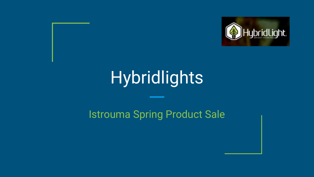

# **Hybridlights**

### **Istrouma Spring Product Sale**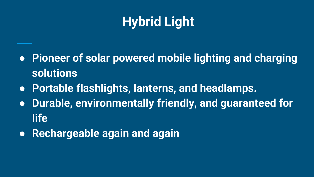# **Hybrid Light**

- **Pioneer of solar powered mobile lighting and charging solutions**
- **Portable flashlights, lanterns, and headlamps.**
- **Durable, environmentally friendly, and guaranteed for life**
- **Rechargeable again and again**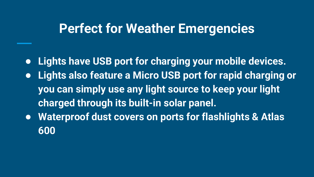## **Perfect for Weather Emergencies**

- **Lights have USB port for charging your mobile devices.**
- **Lights also feature a Micro USB port for rapid charging or you can simply use any light source to keep your light charged through its built-in solar panel.**
- **Waterproof dust covers on ports for flashlights & Atlas 600**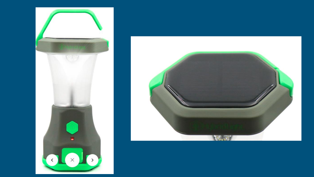

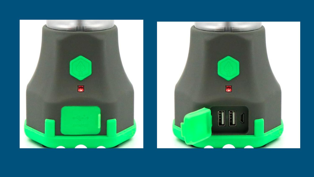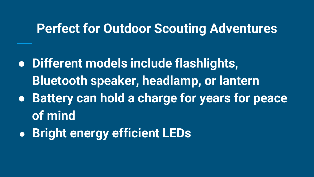## **Perfect for Outdoor Scouting Adventures**

- **Different models include flashlights, Bluetooth speaker, headlamp, or lantern**
- **Battery can hold a charge for years for peace of mind**
- **Bright energy efficient LEDs**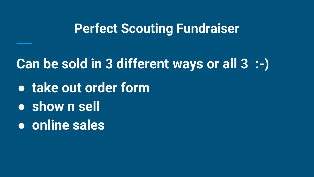## **Perfect Scouting Fundraiser**

# **Can be sold in 3 different ways or all 3 :-)**

- **take out order form**
- **show n sell**
- **online sales**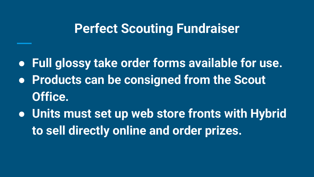## **Perfect Scouting Fundraiser**

● **Full glossy take order forms available for use.**

- **Products can be consigned from the Scout Office.**
- **Units must set up web store fronts with Hybrid to sell directly online and order prizes.**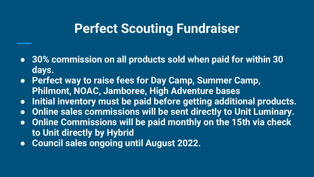## **Perfect Scouting Fundraiser**

- **30% commission on all products sold when paid for within 30 days.**
- **Perfect way to raise fees for Day Camp, Summer Camp, Philmont, NOAC, Jamboree, High Adventure bases**
- **Initial inventory must be paid before getting additional products.**
- **Online sales commissions will be sent directly to Unit Luminary.**
- **Online Commissions will be paid monthly on the 15th via check to Unit directly by Hybrid**
- **Council sales ongoing until August 2022.**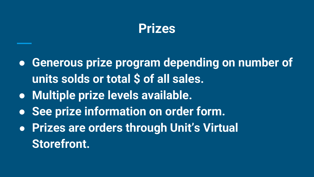## **Prizes**

- **Generous prize program depending on number of units solds or total \$ of all sales.**
- **Multiple prize levels available.**
- **See prize information on order form.**
- **Prizes are orders through Unit's Virtual Storefront.**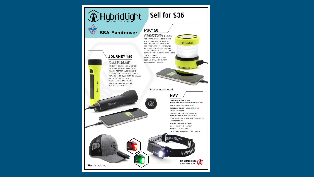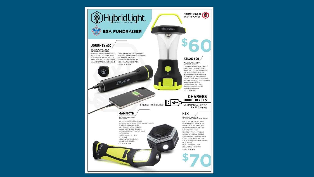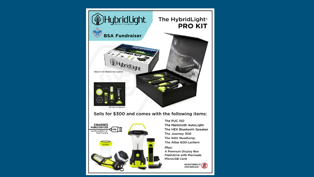

### Sells for \$300 and comes with the following items:



### The PUC 150

The Mammoth AutoLight The HEX Bluetooth Speaker The Journey 300 The NAV Headlamp The Atlas 600 Lantern

### Plus:

A Premium Display Box **Flashdrive with Mannuals** MicroUSB Cord

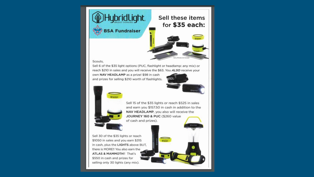

#### Scouts,

Sell 6 of the \$35 light options (PUC, flashlight or headlamp: any mix) or reach \$210 in sales and you will receive the \$63. You ALSO receive your

own NAV HEADLAMP as a prize! \$98 in cash and prizes for selling \$210 worth of flashlights.





Sell 15 of the \$35 lights or reach \$525 in sales and earn you \$157.50 in cash in addition to the NAV HEADLAMP, you also will receive the JOURNEY 160 & PUC (\$260 value of cash and prizes).

Sell 30 of the \$35 lights or reach \$1050 in sales and you earn \$315 in cash, plus the LIGHTS above BUT, there is MORE!! You also earn the ATLAS & MAMMOTH!! That's \$550 in cash and prizes for selling only 30 lights (any mix).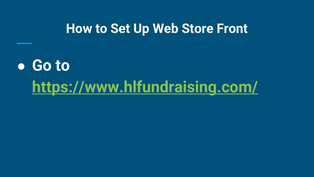# ● **Go to <https://www.hlfundraising.com/>**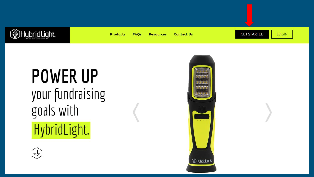

#### **Products FAQs Resources Contact Us**



**LOGIN** 

# **POWER UP** your fundraising goals with HybridLight.



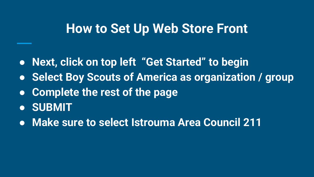- **Next, click on top left "Get Started" to begin**
- **Select Boy Scouts of America as organization / group**
- **Complete the rest of the page**
- **SUBMIT**
- **Make sure to select Istrouma Area Council 211**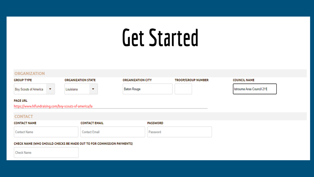# **Get Started**

#### **ORGANIZATION GROUP TYPE ORGANIZATION STATE ORGANIZATION CITY TROOP/GROUP NUMBER COUNCIL NAME** Boy Scouts of America **Baton Rouge** Istrouma Area Council 211 Louisiana  $\blacktriangledown$ ۰ **PAGE URL** https://www.hlfundraising.com/boy-scouts-of-america/la **CONTACT CONTACT NAME CONTACT EMAIL PASSWORD Contact Name Contact Email** Password

### CHECK NAME (WHO SHOULD CHECKS BE MADE OUT TO FOR COMMISSION PAYMENTS)

**Check Name**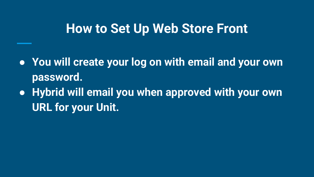- **You will create your log on with email and your own password.**
- **Hybrid will email you when approved with your own URL for your Unit.**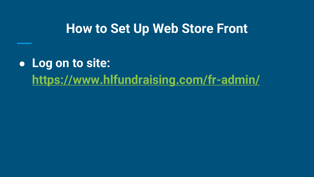● **Log on to site: <https://www.hlfundraising.com/fr-admin/>**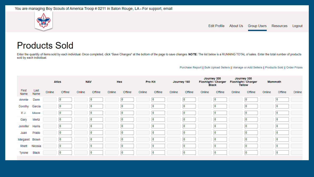

### **Products Sold**

Enter the quantity of items sold by each individual. Once completed, click "Save Changes" at the bottom of the page to save changes. NOTE: The list below is a RUNNING TOTAL of sales. Enter the total number of products sold by each individual.

### Purchase Report || Bulk Upload Sellers || Manage or Add Sellers || Products Sold || Order Prizes

|                |              |        | <b>Atlas</b> |        | <b>NAV</b> |        | Hex     |        | <b>Pro Kit</b> |        | Journey 160 |        | Journey 300<br><b>Flashlight / Charger</b><br><b>Black</b> |        | Journey 300<br>Flashlight / Charger<br>Yellow |        | <b>Mammoth</b> |        |
|----------------|--------------|--------|--------------|--------|------------|--------|---------|--------|----------------|--------|-------------|--------|------------------------------------------------------------|--------|-----------------------------------------------|--------|----------------|--------|
| First<br>Name  | Last<br>Name | Online | Offline      | Online | Offline    | Online | Offline | Online | Offline        | Online | Offline     | Online | Offline                                                    | Online | Offline                                       | Online | Offline        | Online |
| Ammie          | Dunn         |        |              |        |            |        |         |        |                |        | 0           |        |                                                            |        |                                               |        | 0              |        |
| Dorothy Garcia |              |        | 10           |        |            |        |         |        | v              |        | 10          |        | 10                                                         |        | 10.                                           |        | 10             |        |
| E.J.           | Moore        |        | $ 0\rangle$  |        | 0          |        | 0       |        | $\bf{0}$       |        | 10          |        | 10                                                         |        | 10                                            |        | 10             |        |
| Gary           | Mertz        |        | $\mathbf{0}$ |        |            |        |         |        | U              |        | 0           |        | 10                                                         |        | 10                                            |        | 10             |        |
| Jennifer       | Harris       |        | 10           |        |            |        |         |        |                |        | 0           |        |                                                            |        |                                               |        | 10             |        |
| Juan           | Prado        |        | $\vert 0$    |        |            |        |         |        | U              |        | 0           |        | 10                                                         |        | 10                                            |        | 10             |        |
| Margaret Brown |              |        | 10           |        |            |        |         |        |                |        | 0           |        | 10                                                         |        | 10                                            |        | 10             |        |
| Rhett          | Nicosia      |        | 10           |        |            |        |         |        |                |        | 0           |        | 10                                                         |        | o                                             |        | 10             |        |
| Tyrone         | <b>Black</b> |        | 10           |        |            |        |         |        |                |        | 0           |        | 0                                                          |        | 0                                             |        | 10             |        |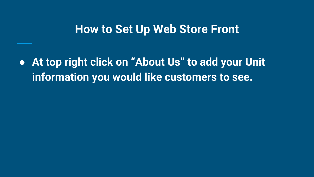● **At top right click on "About Us" to add your Unit information you would like customers to see.**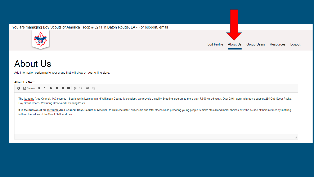

### **About Us**

Add information pertaining to your group that will show on your online store.

#### **About Us Text:**

 $\bigodot$  a source  $B$   $I$   $\bigl| \equiv \pm \pm \equiv \bigr|$   $\equiv$   $\pm$   $\equiv$   $\bigl| \equiv \pm \bmod$ 

The Istrouma Area Council, (IAC) serves 13 parishes in Louisiana and Wilkinson County, Mississippi. We provide a quality Scouting program to more than 7,600 co-ed youth. Over 2,911 adult volunteers support 285 Cub Scout Pa Boy Scout Troops, Venturing Crews and Exploring Posts.

It is the mission of the Istrouma Area Council, Boys Scouts of America, to build character, citizenship and total fitness while preparing young people to make ethical and moral choices over the course of their lifetimes by in them the values of the Scout Oath and Law.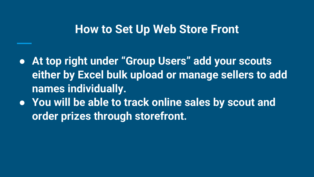- **At top right under "Group Users" add your scouts either by Excel bulk upload or manage sellers to add names individually.**
- **You will be able to track online sales by scout and order prizes through storefront.**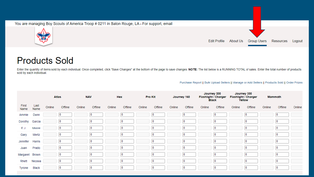

### **Products Sold**

Enter the quantity of items sold by each individual. Once completed, click "Save Changes" at the bottom of the page to save changes. NOTE: The list below is a RUNNING TOTAL of sales. Enter the total number of products sold by each individual.

Purchase Report || Bulk Upload Sellers || Manage or Add Sellers || Products Sold || Order Prizes

|                |              |        | <b>Atlas</b> |        | <b>NAV</b> |        | <b>Hex</b>   |        | <b>Pro Kit</b> |        | Journey 160  |        | Journey 300<br>Flashlight / Charger<br><b>Black</b> |        | Journey 300<br>Flashlight / Charger<br>Yellow |        | <b>Mammoth</b>          |        |
|----------------|--------------|--------|--------------|--------|------------|--------|--------------|--------|----------------|--------|--------------|--------|-----------------------------------------------------|--------|-----------------------------------------------|--------|-------------------------|--------|
| First<br>Name  | Last<br>Name | Online | Offline      | Online | Offline    | Online | Offline      | Online | Offline        | Online | Offline      | Online | Offline                                             | Online | Offline                                       | Online | Offline                 | Online |
| Ammie          | Dunn         |        | 10           |        |            |        | U            |        | 10             |        | 10           |        | 10                                                  |        | 10                                            |        | $\overline{0}$          |        |
| Dorothy Garcia |              |        | 10           |        |            |        | 0            |        | 10             |        | 10           |        | 10.                                                 |        | 10                                            |        | $\overline{\mathbf{0}}$ |        |
| E.J.           | Moore        |        | 10           |        |            |        | 0            |        | 10             |        | 10           |        | 10                                                  |        | 10                                            |        | 10                      |        |
| Gary           | Mertz        |        |              |        |            |        |              |        | 0              |        | $\mathbf{0}$ |        |                                                     |        | 0                                             |        | 0                       |        |
| Jennifer       | Harris       |        | 0            |        |            |        | $\mathbf{0}$ |        | 10             |        | 10           |        | 10                                                  |        | 10                                            |        | 10                      |        |
| Juan           | Prado        |        | 0            |        |            |        | 0            |        | 10             |        | 10           |        | ۱0                                                  |        | 10                                            |        | 10                      |        |
| Margaret Brown |              |        |              |        |            |        |              |        | 0              |        | 10           |        | $\mathbf{0}$                                        |        | 10                                            |        | 10                      |        |
| Rhett          | Nicosia      |        |              |        |            |        |              |        |                |        | $\Omega$     |        |                                                     |        | 10                                            |        | 10                      |        |
| <b>Tyrone</b>  | Black        |        |              |        |            |        |              |        | 0              |        | 0            |        | ۱0                                                  |        | 10                                            |        | 10                      |        |